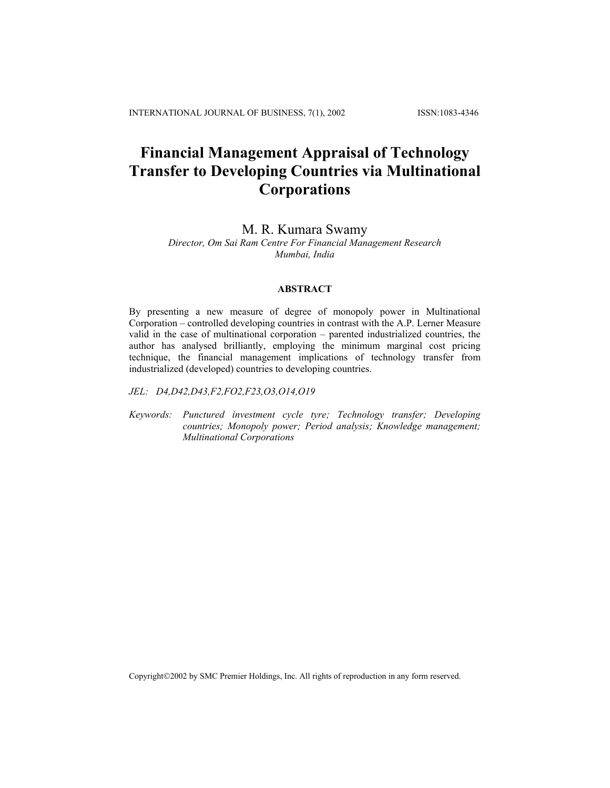# **Financial Management Appraisal of Technology Transfer to Developing Countries via Multinational Corporations**

# M. R. Kumara Swamy

# *Director, Om Sai Ram Centre For Financial Management Research Mumbai, India*

### **ABSTRACT**

By presenting a new measure of degree of monopoly power in Multinational Corporation – controlled developing countries in contrast with the A.P. Lerner Measure valid in the case of multinational corporation – parented industrialized countries, the author has analysed brilliantly, employing the minimum marginal cost pricing technique, the financial management implications of technology transfer from industrialized (developed) countries to developing countries.

*JEL: D4,D42,D43,F2,FO2,F23,O3,O14,O19* 

*Keywords: Punctured investment cycle tyre; Technology transfer; Developing countries; Monopoly power; Period analysis; Knowledge management; Multinational Corporations* 

Copyright2002 by SMC Premier Holdings, Inc. All rights of reproduction in any form reserved.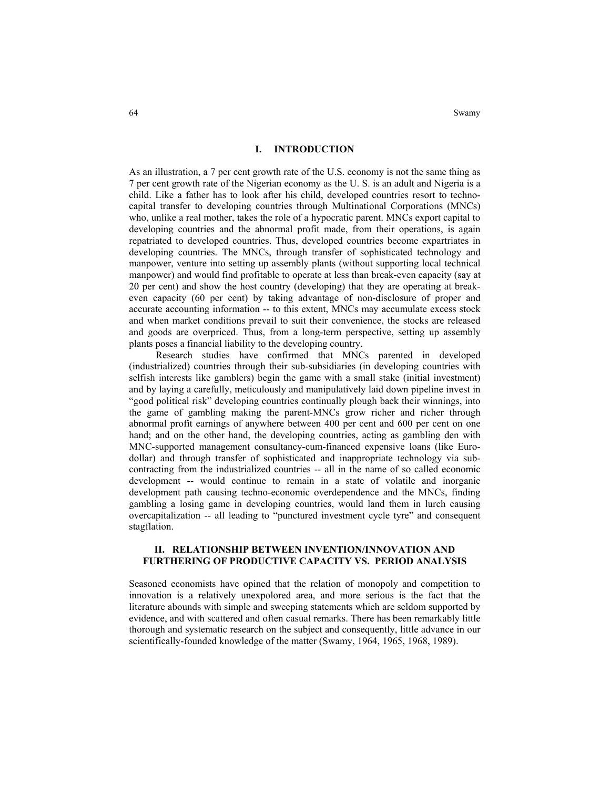64 Swamy Swamy and the state of the state of the state of the state of the state of the state of the state of the state of the state of the state of the state of the state of the state of the state of the state of the stat

# **I. INTRODUCTION**

As an illustration, a 7 per cent growth rate of the U.S. economy is not the same thing as 7 per cent growth rate of the Nigerian economy as the U. S. is an adult and Nigeria is a child. Like a father has to look after his child, developed countries resort to technocapital transfer to developing countries through Multinational Corporations (MNCs) who, unlike a real mother, takes the role of a hypocratic parent. MNCs export capital to developing countries and the abnormal profit made, from their operations, is again repatriated to developed countries. Thus, developed countries become expartriates in developing countries. The MNCs, through transfer of sophisticated technology and manpower, venture into setting up assembly plants (without supporting local technical manpower) and would find profitable to operate at less than break-even capacity (say at 20 per cent) and show the host country (developing) that they are operating at breakeven capacity (60 per cent) by taking advantage of non-disclosure of proper and accurate accounting information -- to this extent, MNCs may accumulate excess stock and when market conditions prevail to suit their convenience, the stocks are released and goods are overpriced. Thus, from a long-term perspective, setting up assembly plants poses a financial liability to the developing country.

Research studies have confirmed that MNCs parented in developed (industrialized) countries through their sub-subsidiaries (in developing countries with selfish interests like gamblers) begin the game with a small stake (initial investment) and by laying a carefully, meticulously and manipulatively laid down pipeline invest in "good political risk" developing countries continually plough back their winnings, into the game of gambling making the parent-MNCs grow richer and richer through abnormal profit earnings of anywhere between 400 per cent and 600 per cent on one hand; and on the other hand, the developing countries, acting as gambling den with MNC-supported management consultancy-cum-financed expensive loans (like Eurodollar) and through transfer of sophisticated and inappropriate technology via subcontracting from the industrialized countries -- all in the name of so called economic development -- would continue to remain in a state of volatile and inorganic development path causing techno-economic overdependence and the MNCs, finding gambling a losing game in developing countries, would land them in lurch causing overcapitalization -- all leading to "punctured investment cycle tyre" and consequent stagflation.

### **II. RELATIONSHIP BETWEEN INVENTION/INNOVATION AND FURTHERING OF PRODUCTIVE CAPACITY VS. PERIOD ANALYSIS**

Seasoned economists have opined that the relation of monopoly and competition to innovation is a relatively unexpolored area, and more serious is the fact that the literature abounds with simple and sweeping statements which are seldom supported by evidence, and with scattered and often casual remarks. There has been remarkably little thorough and systematic research on the subject and consequently, little advance in our scientifically-founded knowledge of the matter (Swamy, 1964, 1965, 1968, 1989).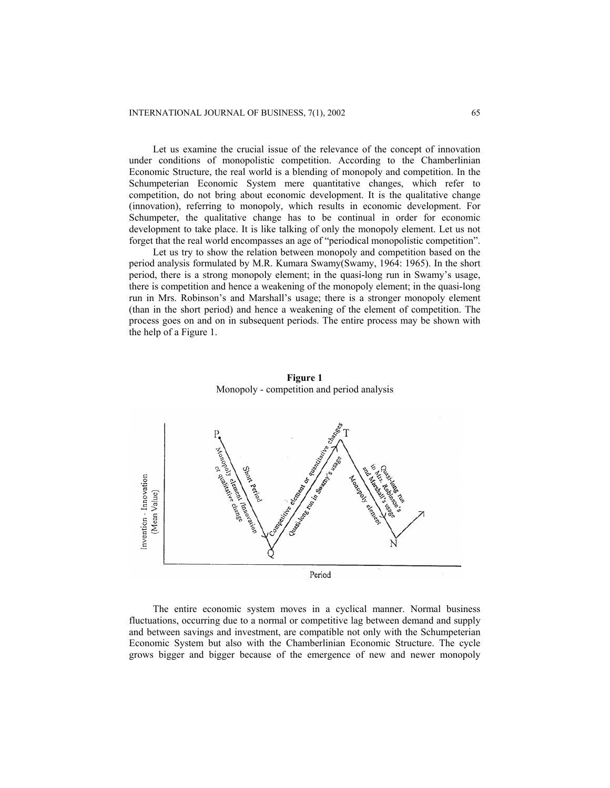Let us examine the crucial issue of the relevance of the concept of innovation under conditions of monopolistic competition. According to the Chamberlinian Economic Structure, the real world is a blending of monopoly and competition. In the Schumpeterian Economic System mere quantitative changes, which refer to competition, do not bring about economic development. It is the qualitative change (innovation), referring to monopoly, which results in economic development. For Schumpeter, the qualitative change has to be continual in order for economic development to take place. It is like talking of only the monopoly element. Let us not forget that the real world encompasses an age of "periodical monopolistic competition".

Let us try to show the relation between monopoly and competition based on the period analysis formulated by M.R. Kumara Swamy(Swamy, 1964: 1965). In the short period, there is a strong monopoly element; in the quasi-long run in Swamy's usage, there is competition and hence a weakening of the monopoly element; in the quasi-long run in Mrs. Robinson's and Marshall's usage; there is a stronger monopoly element (than in the short period) and hence a weakening of the element of competition. The process goes on and on in subsequent periods. The entire process may be shown with the help of a Figure 1.



**Figure 1**  Monopoly - competition and period analysis

The entire economic system moves in a cyclical manner. Normal business fluctuations, occurring due to a normal or competitive lag between demand and supply and between savings and investment, are compatible not only with the Schumpeterian Economic System but also with the Chamberlinian Economic Structure. The cycle grows bigger and bigger because of the emergence of new and newer monopoly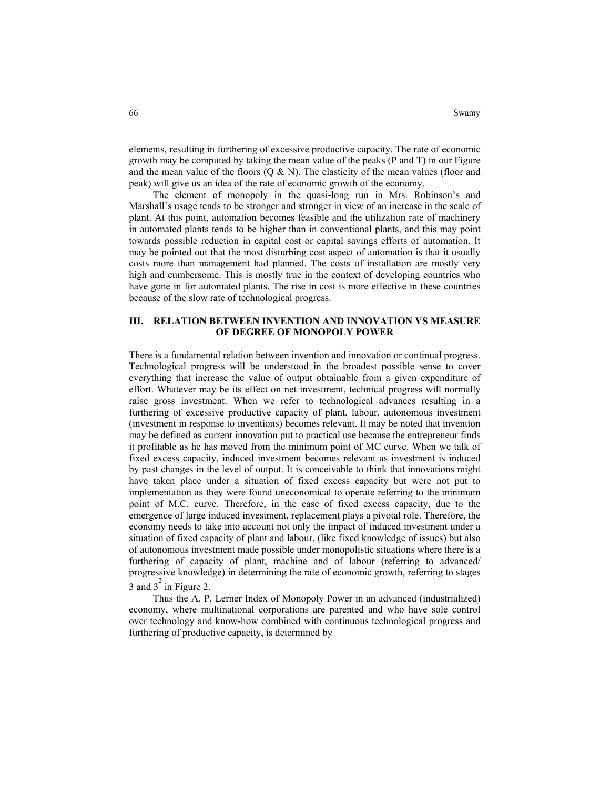elements, resulting in furthering of excessive productive capacity. The rate of economic growth may be computed by taking the mean value of the peaks (P and T) in our Figure and the mean value of the floors  $(Q & N)$ . The elasticity of the mean values (floor and peak) will give us an idea of the rate of economic growth of the economy.

 The element of monopoly in the quasi-long run in Mrs. Robinson's and Marshall's usage tends to be stronger and stronger in view of an increase in the scale of plant. At this point, automation becomes feasible and the utilization rate of machinery in automated plants tends to be higher than in conventional plants, and this may point towards possible reduction in capital cost or capital savings efforts of automation. It may be pointed out that the most disturbing cost aspect of automation is that it usually costs more than management had planned. The costs of installation are mostly very high and cumbersome. This is mostly true in the context of developing countries who have gone in for automated plants. The rise in cost is more effective in these countries because of the slow rate of technological progress.

# **III. RELATION BETWEEN INVENTION AND INNOVATION VS MEASURE OF DEGREE OF MONOPOLY POWER**

There is a fundamental relation between invention and innovation or continual progress. Technological progress will be understood in the broadest possible sense to cover everything that increase the value of output obtainable from a given expenditure of effort. Whatever may be its effect on net investment, technical progress will normally raise gross investment. When we refer to technological advances resulting in a furthering of excessive productive capacity of plant, labour, autonomous investment (investment in response to inventions) becomes relevant. It may be noted that invention may be defined as current innovation put to practical use because the entrepreneur finds it profitable as he has moved from the minimum point of MC curve. When we talk of fixed excess capacity, induced investment becomes relevant as investment is induced by past changes in the level of output. It is conceivable to think that innovations might have taken place under a situation of fixed excess capacity but were not put to implementation as they were found uneconomical to operate referring to the minimum point of M.C. curve. Therefore, in the case of fixed excess capacity, due to the emergence of large induced investment, replacement plays a pivotal role. Therefore, the economy needs to take into account not only the impact of induced investment under a situation of fixed capacity of plant and labour, (like fixed knowledge of issues) but also of autonomous investment made possible under monopolistic situations where there is a furthering of capacity of plant, machine and of labour (referring to advanced/ progressive knowledge) in determining the rate of economic growth, referring to stages  $3$  and  $3^{2}$  in Figure 2.

 Thus the A. P. Lerner Index of Monopoly Power in an advanced (industrialized) economy, where multinational corporations are parented and who have sole control over technology and know-how combined with continuous technological progress and furthering of productive capacity, is determined by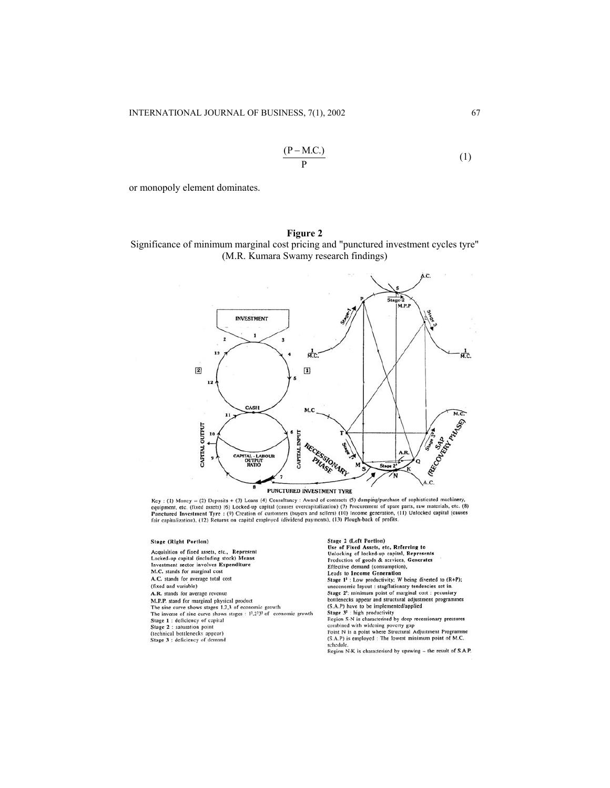$$
\frac{(P - M.C.)}{P}
$$
 (1)

or monopoly element dominates.

### **Figure 2**

Significance of minimum marginal cost pricing and "punctured investment cycles tyre" (M.R. Kumara Swamy research findings)



 $Key: (1) Money = (2) Deposis + (3) loans (4) Census' + (3) Analysis + (4) Class a 4) Class a 5. A 5. A 6. A 7. A 7. B 7. A 8. A 9. A 9. A 9. A 9. A 9. A 9. A 10. A 11. A 11. A 12. A 13. A 14. A 15. A 16. A 17. A 17. A 18. A 19. A 19. A 19. A 10. A 10. A 11. A 11. A 10. A 11. A 11. A 12. A 13. A 14. A 15. A 16. A$ 

#### Stage (Right Portion)

Acquisition of fixed assets, etc., Represent Locked-up capital (including stock) Means<br>Investment sector involves Expenditure M.C. stands for marginal cost A.C. stands for average total cost (fixed and variable) A.R. stands for average revenue M.P.P. stand for marginal physical product<br>The sine curve shows stages 1.2,3 of economic growth The inverse of sine curve shows stages : 12,2232 of economic growth Stage 1 : deficiency of capital Stage 2 : saturation point<br>(technical bottlenecks appear) Stage 3 : deficiency of demand

Stage 2 (Left Portion)<br>Use of Fixed Assets, etc, Referring to<br>Unlocking of locked-up capital, Represents<br>Production of goods & services, Generates<br>Effective demand (consumption),<br>Leads to Income Generation Stage  $1^3$ : Low productivity; W being diverted to (R+P);<br>uneconomic layout : stagflationary tendencies set in. Stage 2<sup>2</sup>: minimum point of marginal cost : pecuniary<br>bottlenecks appear and structural adjustment programmes outencess appear and structural automatic (S.A.P) have to be implemented/applied<br>Stage 3<sup>3</sup> : high productivity<br>Stage 3<sup>3</sup> : high productivity<br>coins SN is characterised by deep recessionary pressures<br>combined with widening (S.A.P) is employed : The lowest minimum point of M.C. schedule.

Region N-K is characterised by upswing – the result of S.A.P.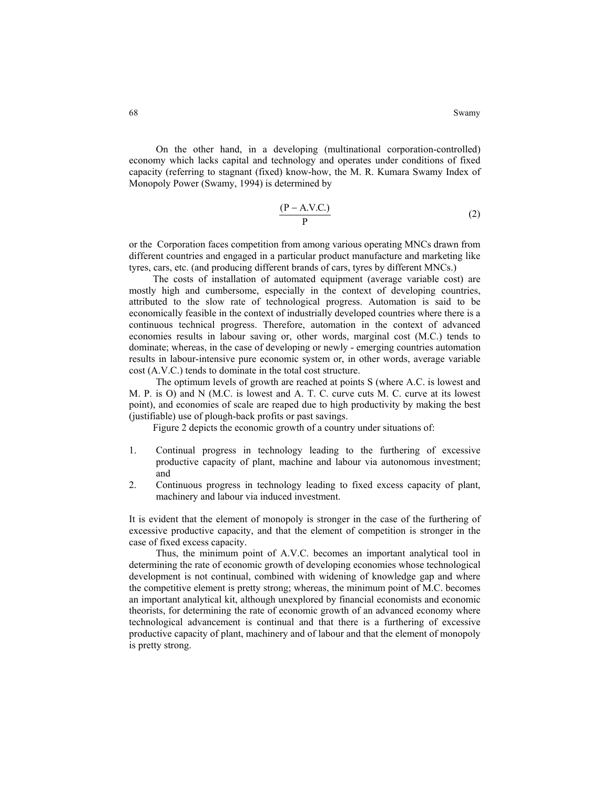On the other hand, in a developing (multinational corporation-controlled) economy which lacks capital and technology and operates under conditions of fixed capacity (referring to stagnant (fixed) know-how, the M. R. Kumara Swamy Index of Monopoly Power (Swamy, 1994) is determined by

$$
\frac{(P - A.V.C.)}{P}
$$
 (2)

or the Corporation faces competition from among various operating MNCs drawn from different countries and engaged in a particular product manufacture and marketing like tyres, cars, etc. (and producing different brands of cars, tyres by different MNCs.)

The costs of installation of automated equipment (average variable cost) are mostly high and cumbersome, especially in the context of developing countries, attributed to the slow rate of technological progress. Automation is said to be economically feasible in the context of industrially developed countries where there is a continuous technical progress. Therefore, automation in the context of advanced economies results in labour saving or, other words, marginal cost (M.C.) tends to dominate; whereas, in the case of developing or newly - emerging countries automation results in labour-intensive pure economic system or, in other words, average variable cost (A.V.C.) tends to dominate in the total cost structure.

The optimum levels of growth are reached at points S (where A.C. is lowest and M. P. is O) and N (M.C. is lowest and A. T. C. curve cuts M. C. curve at its lowest point), and economies of scale are reaped due to high productivity by making the best (justifiable) use of plough-back profits or past savings.

Figure 2 depicts the economic growth of a country under situations of:

- 1. Continual progress in technology leading to the furthering of excessive productive capacity of plant, machine and labour via autonomous investment; and
- 2. Continuous progress in technology leading to fixed excess capacity of plant, machinery and labour via induced investment.

It is evident that the element of monopoly is stronger in the case of the furthering of excessive productive capacity, and that the element of competition is stronger in the case of fixed excess capacity.

Thus, the minimum point of A.V.C. becomes an important analytical tool in determining the rate of economic growth of developing economies whose technological development is not continual, combined with widening of knowledge gap and where the competitive element is pretty strong; whereas, the minimum point of M.C. becomes an important analytical kit, although unexplored by financial economists and economic theorists, for determining the rate of economic growth of an advanced economy where technological advancement is continual and that there is a furthering of excessive productive capacity of plant, machinery and of labour and that the element of monopoly is pretty strong.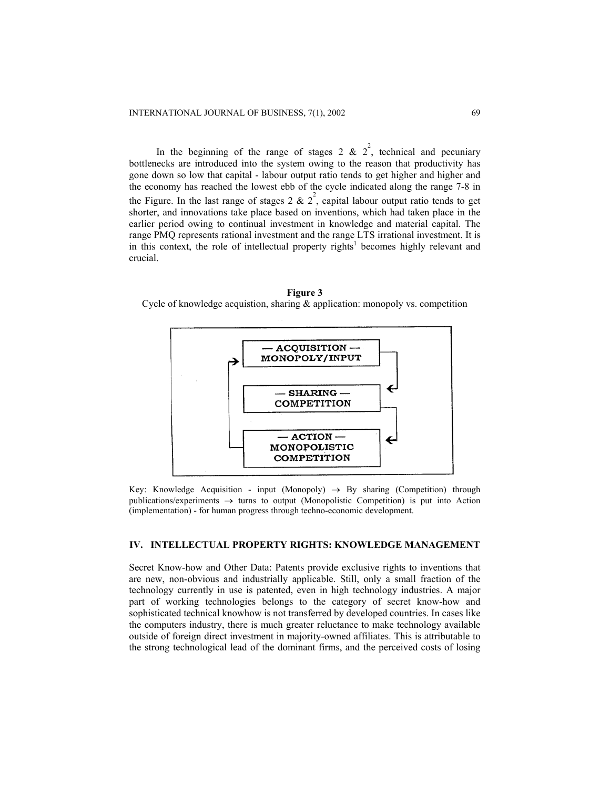In the beginning of the range of stages 2 &  $2^2$ , technical and pecuniary bottlenecks are introduced into the system owing to the reason that productivity has gone down so low that capital - labour output ratio tends to get higher and higher and the economy has reached the lowest ebb of the cycle indicated along the range 7-8 in the Figure. In the last range of stages 2 &  $2^2$ , capital labour output ratio tends to get shorter, and innovations take place based on inventions, which had taken place in the earlier period owing to continual investment in knowledge and material capital. The range PMQ represents rational investment and the range LTS irrational investment. It is in this context, the role of intellectual property rights<sup>1</sup> becomes highly relevant and crucial.





Key: Knowledge Acquisition - input (Monopoly)  $\rightarrow$  By sharing (Competition) through publications/experiments → turns to output (Monopolistic Competition) is put into Action (implementation) - for human progress through techno-economic development.

# **IV. INTELLECTUAL PROPERTY RIGHTS: KNOWLEDGE MANAGEMENT**

Secret Know-how and Other Data: Patents provide exclusive rights to inventions that are new, non-obvious and industrially applicable. Still, only a small fraction of the technology currently in use is patented, even in high technology industries. A major part of working technologies belongs to the category of secret know-how and sophisticated technical knowhow is not transferred by developed countries. In cases like the computers industry, there is much greater reluctance to make technology available outside of foreign direct investment in majority-owned affiliates. This is attributable to the strong technological lead of the dominant firms, and the perceived costs of losing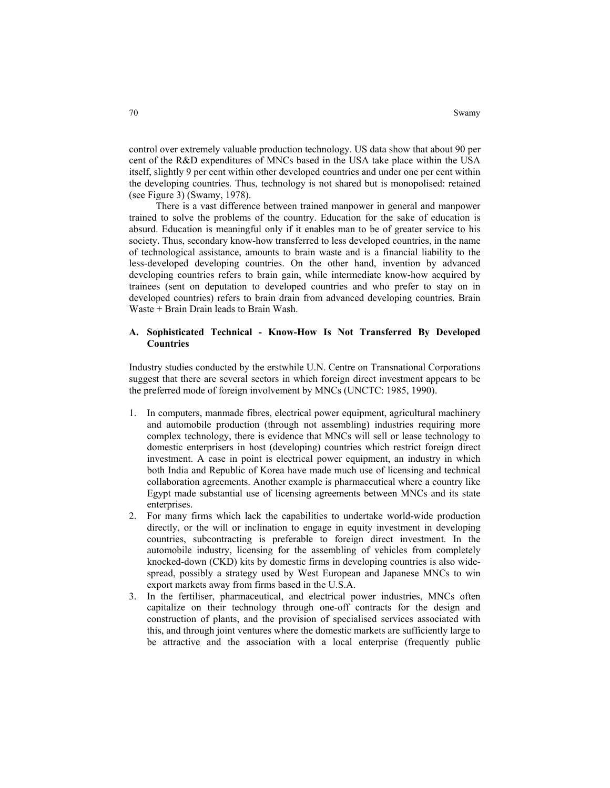control over extremely valuable production technology. US data show that about 90 per cent of the R&D expenditures of MNCs based in the USA take place within the USA itself, slightly 9 per cent within other developed countries and under one per cent within the developing countries. Thus, technology is not shared but is monopolised: retained (see Figure 3) (Swamy, 1978).

 There is a vast difference between trained manpower in general and manpower trained to solve the problems of the country. Education for the sake of education is absurd. Education is meaningful only if it enables man to be of greater service to his society. Thus, secondary know-how transferred to less developed countries, in the name of technological assistance, amounts to brain waste and is a financial liability to the less-developed developing countries. On the other hand, invention by advanced developing countries refers to brain gain, while intermediate know-how acquired by trainees (sent on deputation to developed countries and who prefer to stay on in developed countries) refers to brain drain from advanced developing countries. Brain Waste + Brain Drain leads to Brain Wash.

## **A. Sophisticated Technical - Know-How Is Not Transferred By Developed Countries**

Industry studies conducted by the erstwhile U.N. Centre on Transnational Corporations suggest that there are several sectors in which foreign direct investment appears to be the preferred mode of foreign involvement by MNCs (UNCTC: 1985, 1990).

- 1. In computers, manmade fibres, electrical power equipment, agricultural machinery and automobile production (through not assembling) industries requiring more complex technology, there is evidence that MNCs will sell or lease technology to domestic enterprisers in host (developing) countries which restrict foreign direct investment. A case in point is electrical power equipment, an industry in which both India and Republic of Korea have made much use of licensing and technical collaboration agreements. Another example is pharmaceutical where a country like Egypt made substantial use of licensing agreements between MNCs and its state enterprises.
- 2. For many firms which lack the capabilities to undertake world-wide production directly, or the will or inclination to engage in equity investment in developing countries, subcontracting is preferable to foreign direct investment. In the automobile industry, licensing for the assembling of vehicles from completely knocked-down (CKD) kits by domestic firms in developing countries is also widespread, possibly a strategy used by West European and Japanese MNCs to win export markets away from firms based in the U.S.A.
- 3. In the fertiliser, pharmaceutical, and electrical power industries, MNCs often capitalize on their technology through one-off contracts for the design and construction of plants, and the provision of specialised services associated with this, and through joint ventures where the domestic markets are sufficiently large to be attractive and the association with a local enterprise (frequently public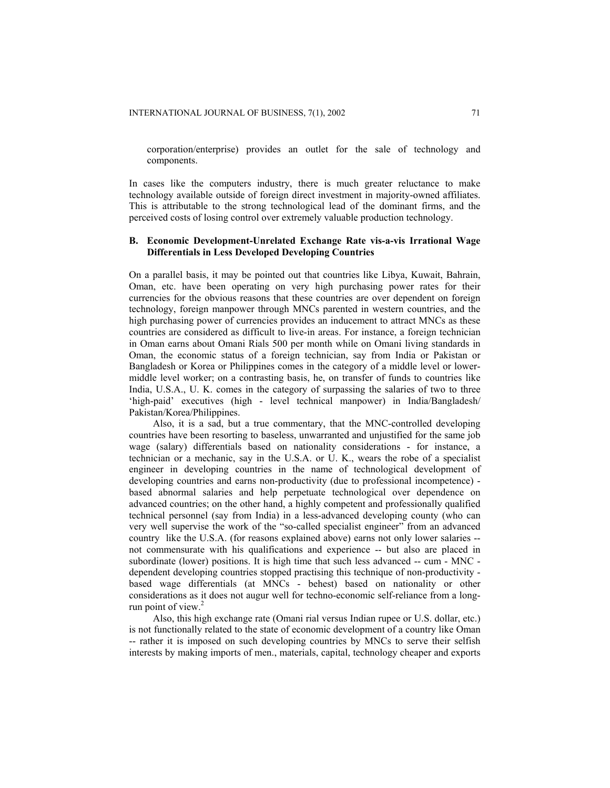corporation/enterprise) provides an outlet for the sale of technology and components.

In cases like the computers industry, there is much greater reluctance to make technology available outside of foreign direct investment in majority-owned affiliates. This is attributable to the strong technological lead of the dominant firms, and the perceived costs of losing control over extremely valuable production technology.

# **B. Economic Development-Unrelated Exchange Rate vis-a-vis Irrational Wage Differentials in Less Developed Developing Countries**

On a parallel basis, it may be pointed out that countries like Libya, Kuwait, Bahrain, Oman, etc. have been operating on very high purchasing power rates for their currencies for the obvious reasons that these countries are over dependent on foreign technology, foreign manpower through MNCs parented in western countries, and the high purchasing power of currencies provides an inducement to attract MNCs as these countries are considered as difficult to live-in areas. For instance, a foreign technician in Oman earns about Omani Rials 500 per month while on Omani living standards in Oman, the economic status of a foreign technician, say from India or Pakistan or Bangladesh or Korea or Philippines comes in the category of a middle level or lowermiddle level worker; on a contrasting basis, he, on transfer of funds to countries like India, U.S.A., U. K. comes in the category of surpassing the salaries of two to three 'high-paid' executives (high - level technical manpower) in India/Bangladesh/ Pakistan/Korea/Philippines.

 Also, it is a sad, but a true commentary, that the MNC-controlled developing countries have been resorting to baseless, unwarranted and unjustified for the same job wage (salary) differentials based on nationality considerations - for instance, a technician or a mechanic, say in the U.S.A. or U. K., wears the robe of a specialist engineer in developing countries in the name of technological development of developing countries and earns non-productivity (due to professional incompetence) based abnormal salaries and help perpetuate technological over dependence on advanced countries; on the other hand, a highly competent and professionally qualified technical personnel (say from India) in a less-advanced developing county (who can very well supervise the work of the "so-called specialist engineer" from an advanced country like the U.S.A. (for reasons explained above) earns not only lower salaries - not commensurate with his qualifications and experience -- but also are placed in subordinate (lower) positions. It is high time that such less advanced -- cum - MNC dependent developing countries stopped practising this technique of non-productivity based wage differentials (at MNCs - behest) based on nationality or other considerations as it does not augur well for techno-economic self-reliance from a longrun point of view.<sup>2</sup>

 Also, this high exchange rate (Omani rial versus Indian rupee or U.S. dollar, etc.) is not functionally related to the state of economic development of a country like Oman -- rather it is imposed on such developing countries by MNCs to serve their selfish interests by making imports of men., materials, capital, technology cheaper and exports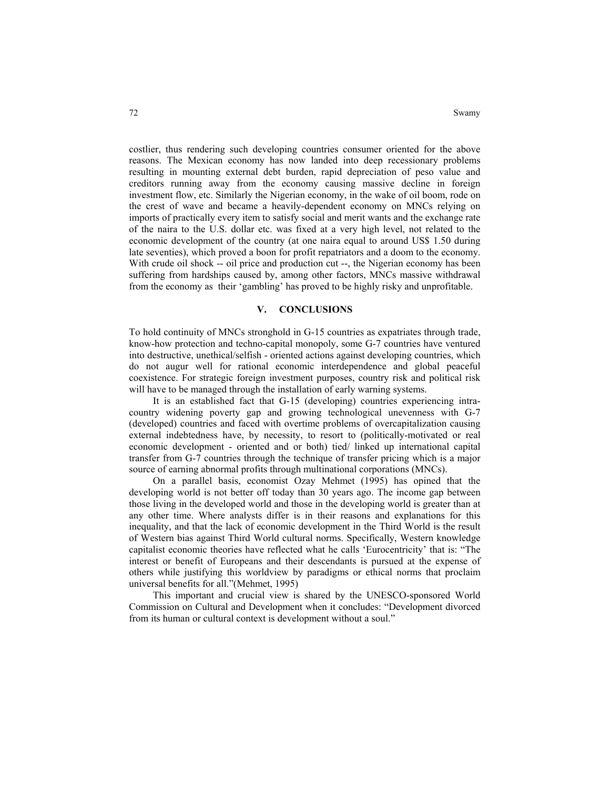costlier, thus rendering such developing countries consumer oriented for the above reasons. The Mexican economy has now landed into deep recessionary problems resulting in mounting external debt burden, rapid depreciation of peso value and creditors running away from the economy causing massive decline in foreign investment flow, etc. Similarly the Nigerian economy, in the wake of oil boom, rode on the crest of wave and became a heavily-dependent economy on MNCs relying on imports of practically every item to satisfy social and merit wants and the exchange rate of the naira to the U.S. dollar etc. was fixed at a very high level, not related to the economic development of the country (at one naira equal to around US\$ 1.50 during late seventies), which proved a boon for profit repatriators and a doom to the economy. With crude oil shock -- oil price and production cut --, the Nigerian economy has been suffering from hardships caused by, among other factors, MNCs massive withdrawal from the economy as their 'gambling' has proved to be highly risky and unprofitable.

### **V. CONCLUSIONS**

To hold continuity of MNCs stronghold in G-15 countries as expatriates through trade, know-how protection and techno-capital monopoly, some G-7 countries have ventured into destructive, unethical/selfish - oriented actions against developing countries, which do not augur well for rational economic interdependence and global peaceful coexistence. For strategic foreign investment purposes, country risk and political risk will have to be managed through the installation of early warning systems.

 It is an established fact that G-15 (developing) countries experiencing intracountry widening poverty gap and growing technological unevenness with G-7 (developed) countries and faced with overtime problems of overcapitalization causing external indebtedness have, by necessity, to resort to (politically-motivated or real economic development - oriented and or both) tied/ linked up international capital transfer from G-7 countries through the technique of transfer pricing which is a major source of earning abnormal profits through multinational corporations (MNCs).

 On a parallel basis, economist Ozay Mehmet (1995) has opined that the developing world is not better off today than 30 years ago. The income gap between those living in the developed world and those in the developing world is greater than at any other time. Where analysts differ is in their reasons and explanations for this inequality, and that the lack of economic development in the Third World is the result of Western bias against Third World cultural norms. Specifically, Western knowledge capitalist economic theories have reflected what he calls 'Eurocentricity' that is: "The interest or benefit of Europeans and their descendants is pursued at the expense of others while justifying this worldview by paradigms or ethical norms that proclaim universal benefits for all."(Mehmet, 1995)

 This important and crucial view is shared by the UNESCO-sponsored World Commission on Cultural and Development when it concludes: "Development divorced from its human or cultural context is development without a soul."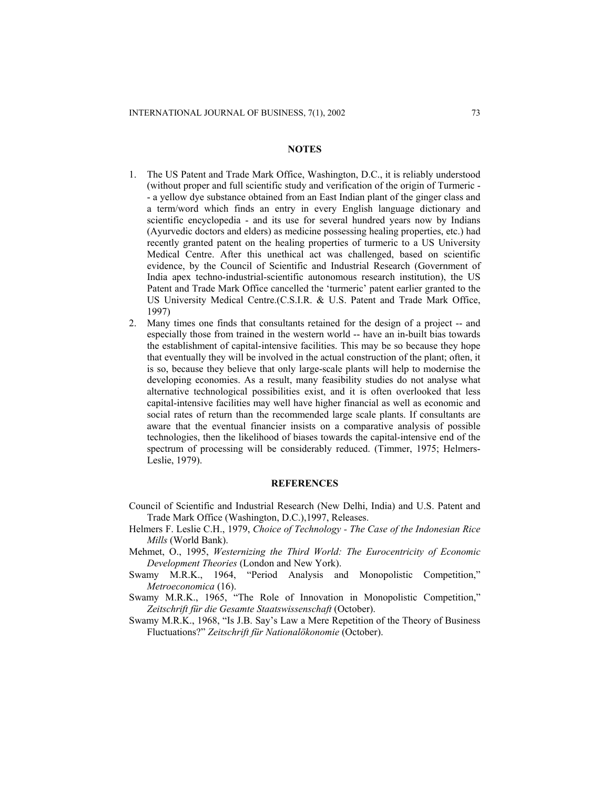### **NOTES**

- 1. The US Patent and Trade Mark Office, Washington, D.C., it is reliably understood (without proper and full scientific study and verification of the origin of Turmeric - - a yellow dye substance obtained from an East Indian plant of the ginger class and a term/word which finds an entry in every English language dictionary and scientific encyclopedia - and its use for several hundred years now by Indians (Ayurvedic doctors and elders) as medicine possessing healing properties, etc.) had recently granted patent on the healing properties of turmeric to a US University Medical Centre. After this unethical act was challenged, based on scientific evidence, by the Council of Scientific and Industrial Research (Government of India apex techno-industrial-scientific autonomous research institution), the US Patent and Trade Mark Office cancelled the 'turmeric' patent earlier granted to the US University Medical Centre.(C.S.I.R. & U.S. Patent and Trade Mark Office, 1997)
- 2. Many times one finds that consultants retained for the design of a project -- and especially those from trained in the western world -- have an in-built bias towards the establishment of capital-intensive facilities. This may be so because they hope that eventually they will be involved in the actual construction of the plant; often, it is so, because they believe that only large-scale plants will help to modernise the developing economies. As a result, many feasibility studies do not analyse what alternative technological possibilities exist, and it is often overlooked that less capital-intensive facilities may well have higher financial as well as economic and social rates of return than the recommended large scale plants. If consultants are aware that the eventual financier insists on a comparative analysis of possible technologies, then the likelihood of biases towards the capital-intensive end of the spectrum of processing will be considerably reduced. (Timmer, 1975; Helmers-Leslie, 1979).

### **REFERENCES**

- Council of Scientific and Industrial Research (New Delhi, India) and U.S. Patent and Trade Mark Office (Washington, D.C.),1997, Releases.
- Helmers F. Leslie C.H., 1979, *Choice of Technology The Case of the Indonesian Rice Mills* (World Bank).
- Mehmet, O., 1995, *Westernizing the Third World: The Eurocentricity of Economic Development Theories* (London and New York).
- Swamy M.R.K., 1964, "Period Analysis and Monopolistic Competition," *Metroeconomica* (16).
- Swamy M.R.K., 1965, "The Role of Innovation in Monopolistic Competition," *Zeitschrift für die Gesamte Staatswissenschaft* (October).
- Swamy M.R.K., 1968, "Is J.B. Say's Law a Mere Repetition of the Theory of Business Fluctuations?" *Zeitschrift für Nationalökonomie* (October).